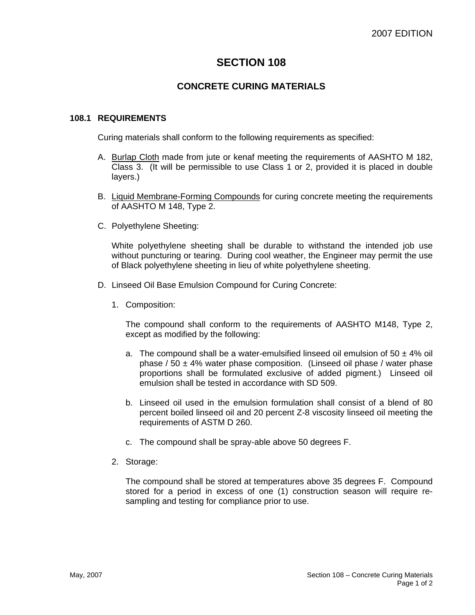## **SECTION 108**

### **CONCRETE CURING MATERIALS**

#### **108.1 REQUIREMENTS**

Curing materials shall conform to the following requirements as specified:

- A. Burlap Cloth made from jute or kenaf meeting the requirements of AASHTO M 182, Class 3. (It will be permissible to use Class 1 or 2, provided it is placed in double layers.)
- B. Liquid Membrane-Forming Compounds for curing concrete meeting the requirements of AASHTO M 148, Type 2.
- C. Polyethylene Sheeting:

White polyethylene sheeting shall be durable to withstand the intended job use without puncturing or tearing. During cool weather, the Engineer may permit the use of Black polyethylene sheeting in lieu of white polyethylene sheeting.

- D. Linseed Oil Base Emulsion Compound for Curing Concrete:
	- 1. Composition:

The compound shall conform to the requirements of AASHTO M148, Type 2, except as modified by the following:

- a. The compound shall be a water-emulsified linseed oil emulsion of  $50 \pm 4\%$  oil phase /  $50 \pm 4\%$  water phase composition. (Linseed oil phase / water phase proportions shall be formulated exclusive of added pigment.) Linseed oil emulsion shall be tested in accordance with SD 509.
- b. Linseed oil used in the emulsion formulation shall consist of a blend of 80 percent boiled linseed oil and 20 percent Z-8 viscosity linseed oil meeting the requirements of ASTM D 260.
- c. The compound shall be spray-able above 50 degrees F.
- 2. Storage:

The compound shall be stored at temperatures above 35 degrees F. Compound stored for a period in excess of one (1) construction season will require resampling and testing for compliance prior to use.